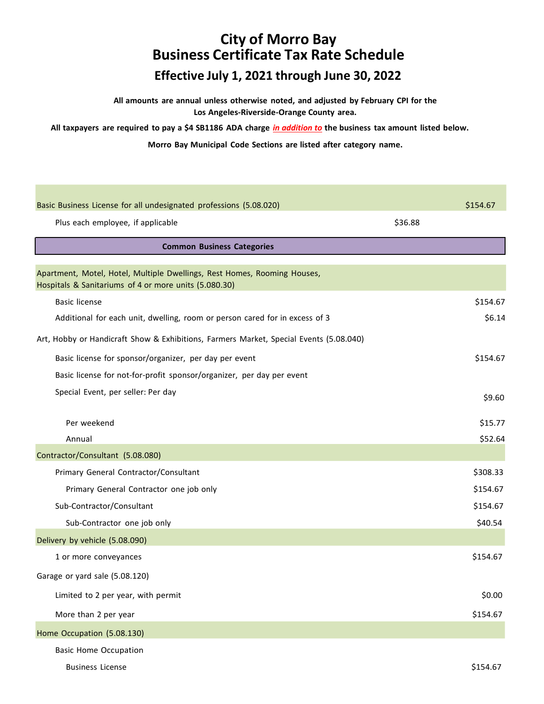**All amounts are annual unless otherwise noted, and adjusted by February CPI for the Los Angeles-Riverside-Orange County area.**

All taxpayers are required to pay a \$4 SB1186 ADA charge in addition to the business tax amount listed below.

**Morro Bay Municipal Code Sections are listed after category name.**

| Basic Business License for all undesignated professions (5.08.020)                                                                |         | \$154.67 |
|-----------------------------------------------------------------------------------------------------------------------------------|---------|----------|
| Plus each employee, if applicable                                                                                                 | \$36.88 |          |
| <b>Common Business Categories</b>                                                                                                 |         |          |
|                                                                                                                                   |         |          |
| Apartment, Motel, Hotel, Multiple Dwellings, Rest Homes, Rooming Houses,<br>Hospitals & Sanitariums of 4 or more units (5.080.30) |         |          |
| <b>Basic license</b>                                                                                                              |         | \$154.67 |
| Additional for each unit, dwelling, room or person cared for in excess of 3                                                       |         | \$6.14   |
| Art, Hobby or Handicraft Show & Exhibitions, Farmers Market, Special Events (5.08.040)                                            |         |          |
| Basic license for sponsor/organizer, per day per event                                                                            |         | \$154.67 |
| Basic license for not-for-profit sponsor/organizer, per day per event                                                             |         |          |
| Special Event, per seller: Per day                                                                                                |         | \$9.60   |
|                                                                                                                                   |         |          |
| Per weekend                                                                                                                       |         | \$15.77  |
| Annual                                                                                                                            |         | \$52.64  |
| Contractor/Consultant (5.08.080)                                                                                                  |         |          |
| Primary General Contractor/Consultant                                                                                             |         | \$308.33 |
| Primary General Contractor one job only                                                                                           |         | \$154.67 |
| Sub-Contractor/Consultant                                                                                                         |         | \$154.67 |
| Sub-Contractor one job only                                                                                                       |         | \$40.54  |
| Delivery by vehicle (5.08.090)                                                                                                    |         |          |
| 1 or more conveyances                                                                                                             |         | \$154.67 |
| Garage or yard sale (5.08.120)                                                                                                    |         |          |
| Limited to 2 per year, with permit                                                                                                |         | \$0.00   |
| More than 2 per year                                                                                                              |         | \$154.67 |
| Home Occupation (5.08.130)                                                                                                        |         |          |
| <b>Basic Home Occupation</b>                                                                                                      |         |          |

Business License \$154.67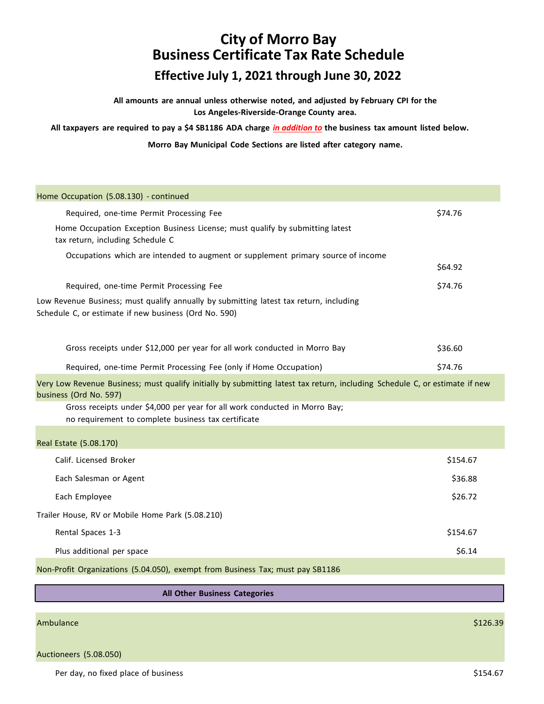**All amounts are annual unless otherwise noted, and adjusted by February CPI for the Los Angeles-Riverside-Orange County area.**

All taxpayers are required to pay a \$4 SB1186 ADA charge in addition to the business tax amount listed below.

**Morro Bay Municipal Code Sections are listed after category name.**

| Home Occupation (5.08.130) - continued                                                                                                                |          |
|-------------------------------------------------------------------------------------------------------------------------------------------------------|----------|
| Required, one-time Permit Processing Fee                                                                                                              | \$74.76  |
| Home Occupation Exception Business License; must qualify by submitting latest<br>tax return, including Schedule C                                     |          |
| Occupations which are intended to augment or supplement primary source of income                                                                      |          |
|                                                                                                                                                       | \$64.92  |
| Required, one-time Permit Processing Fee                                                                                                              | \$74.76  |
| Low Revenue Business; must qualify annually by submitting latest tax return, including<br>Schedule C, or estimate if new business (Ord No. 590)       |          |
| Gross receipts under \$12,000 per year for all work conducted in Morro Bay                                                                            | \$36.60  |
| Required, one-time Permit Processing Fee (only if Home Occupation)                                                                                    | \$74.76  |
| Very Low Revenue Business; must qualify initially by submitting latest tax return, including Schedule C, or estimate if new<br>business (Ord No. 597) |          |
| Gross receipts under \$4,000 per year for all work conducted in Morro Bay;<br>no requirement to complete business tax certificate                     |          |
| Real Estate (5.08.170)                                                                                                                                |          |
| Calif. Licensed Broker                                                                                                                                | \$154.67 |
| Each Salesman or Agent                                                                                                                                | \$36.88  |
| Each Employee                                                                                                                                         | \$26.72  |
| Trailer House, RV or Mobile Home Park (5.08.210)                                                                                                      |          |
| Rental Spaces 1-3                                                                                                                                     | \$154.67 |
| Plus additional per space                                                                                                                             | \$6.14   |
| Non-Profit Organizations (5.04.050), exempt from Business Tax; must pay SB1186                                                                        |          |
|                                                                                                                                                       |          |
| All Other Business Categories                                                                                                                         |          |

Ambulance \$126.39

Auctioneers (5.08.050)

Per day, no fixed place of business  $$154.67$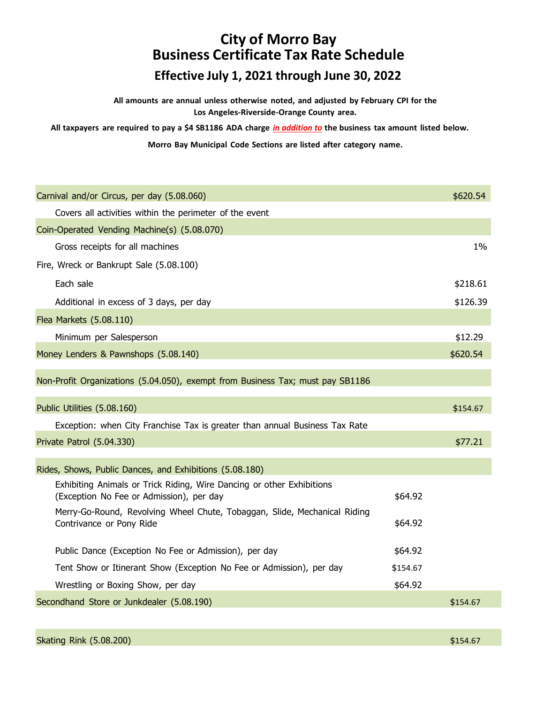**All amounts are annual unless otherwise noted, and adjusted by February CPI for the Los Angeles-Riverside-Orange County area.**

All taxpayers are required to pay a \$4 SB1186 ADA charge in addition to the business tax amount listed below.

**Morro Bay Municipal Code Sections are listed after category name.**

| Carnival and/or Circus, per day (5.08.060)                                                                        |          | \$620.54 |
|-------------------------------------------------------------------------------------------------------------------|----------|----------|
| Covers all activities within the perimeter of the event                                                           |          |          |
| Coin-Operated Vending Machine(s) (5.08.070)                                                                       |          |          |
| Gross receipts for all machines                                                                                   |          | $1\%$    |
| Fire, Wreck or Bankrupt Sale (5.08.100)                                                                           |          |          |
| Each sale                                                                                                         |          | \$218.61 |
| Additional in excess of 3 days, per day                                                                           |          | \$126.39 |
| Flea Markets (5.08.110)                                                                                           |          |          |
| Minimum per Salesperson                                                                                           |          | \$12.29  |
| Money Lenders & Pawnshops (5.08.140)                                                                              |          | \$620.54 |
| Non-Profit Organizations (5.04.050), exempt from Business Tax; must pay SB1186                                    |          |          |
| Public Utilities (5.08.160)                                                                                       |          | \$154.67 |
| Exception: when City Franchise Tax is greater than annual Business Tax Rate                                       |          |          |
| Private Patrol (5.04.330)                                                                                         |          | \$77.21  |
| Rides, Shows, Public Dances, and Exhibitions (5.08.180)                                                           |          |          |
| Exhibiting Animals or Trick Riding, Wire Dancing or other Exhibitions<br>(Exception No Fee or Admission), per day | \$64.92  |          |
| Merry-Go-Round, Revolving Wheel Chute, Tobaggan, Slide, Mechanical Riding<br>Contrivance or Pony Ride             | \$64.92  |          |
| Public Dance (Exception No Fee or Admission), per day                                                             | \$64.92  |          |
| Tent Show or Itinerant Show (Exception No Fee or Admission), per day                                              | \$154.67 |          |
| Wrestling or Boxing Show, per day                                                                                 | \$64.92  |          |
| Secondhand Store or Junkdealer (5.08.190)                                                                         |          | \$154.67 |